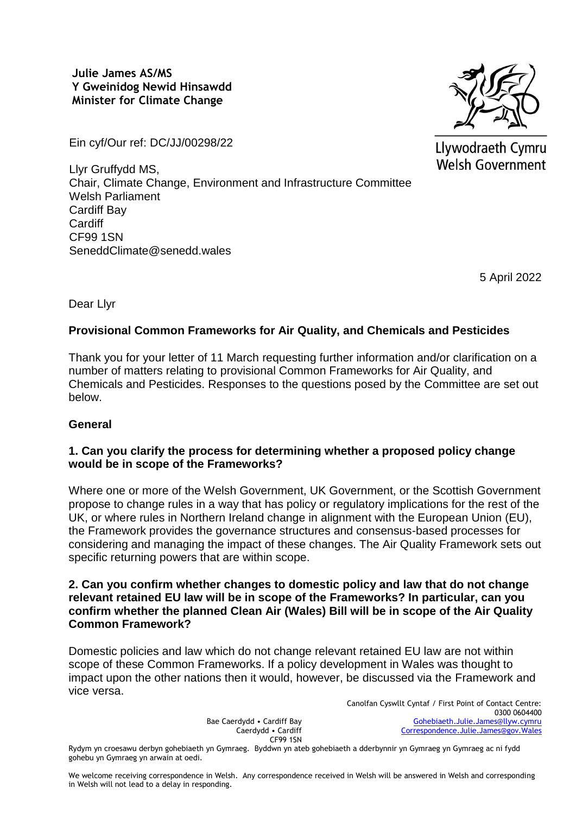**Julie James AS/MS Y Gweinidog Newid Hinsawdd Minister for Climate Change**

Ein cyf/Our ref: DC/JJ/00298/22

Llywodraeth Cymru Welsh Government

Llyr Gruffydd MS, Chair, Climate Change, Environment and Infrastructure Committee Welsh Parliament Cardiff Bay **Cardiff** CF99 1SN SeneddClimate@senedd.wales

5 April 2022

Dear Llyr

# **Provisional Common Frameworks for Air Quality, and Chemicals and Pesticides**

Thank you for your letter of 11 March requesting further information and/or clarification on a number of matters relating to provisional Common Frameworks for Air Quality, and Chemicals and Pesticides. Responses to the questions posed by the Committee are set out below.

# **General**

### **1. Can you clarify the process for determining whether a proposed policy change would be in scope of the Frameworks?**

Where one or more of the Welsh Government, UK Government, or the Scottish Government propose to change rules in a way that has policy or regulatory implications for the rest of the UK, or where rules in Northern Ireland change in alignment with the European Union (EU), the Framework provides the governance structures and consensus-based processes for considering and managing the impact of these changes. The Air Quality Framework sets out specific returning powers that are within scope.

### **2. Can you confirm whether changes to domestic policy and law that do not change relevant retained EU law will be in scope of the Frameworks? In particular, can you confirm whether the planned Clean Air (Wales) Bill will be in scope of the Air Quality Common Framework?**

Domestic policies and law which do not change relevant retained EU law are not within scope of these Common Frameworks. If a policy development in Wales was thought to impact upon the other nations then it would, however, be discussed via the Framework and vice versa.

> Bae Caerdydd • Cardiff Bay Caerdydd • Cardiff CF99 1SN

Canolfan Cyswllt Cyntaf / First Point of Contact Centre: 0300 0604400 [Gohebiaeth.Julie.James@llyw.cymru](mailto:Gohebiaeth.Julie.James@llyw.cymru) [Correspondence.Julie.James@gov.Wales](mailto:Correspondence.Julie.James@gov.Wales)

Rydym yn croesawu derbyn gohebiaeth yn Gymraeg. Byddwn yn ateb gohebiaeth a dderbynnir yn Gymraeg yn Gymraeg ac ni fydd gohebu yn Gymraeg yn arwain at oedi.

We welcome receiving correspondence in Welsh. Any correspondence received in Welsh will be answered in Welsh and corresponding in Welsh will not lead to a delay in responding.

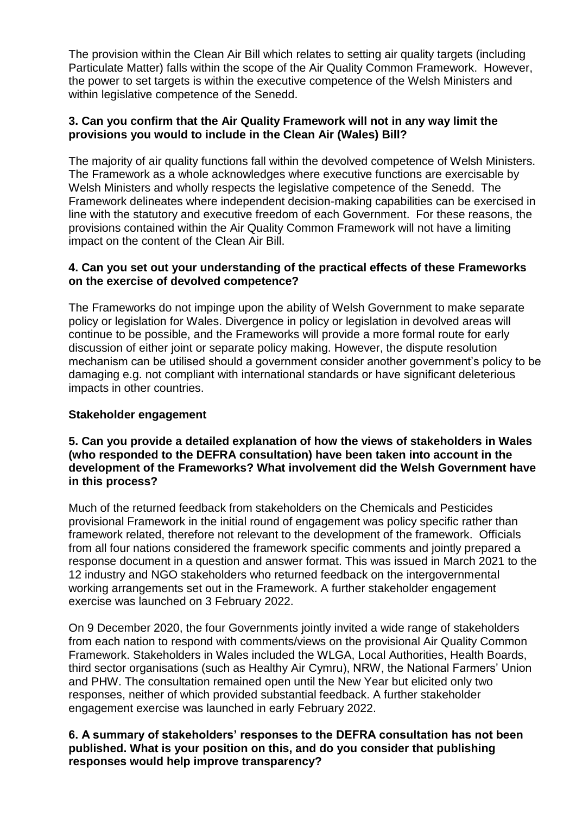The provision within the Clean Air Bill which relates to setting air quality targets (including Particulate Matter) falls within the scope of the Air Quality Common Framework. However, the power to set targets is within the executive competence of the Welsh Ministers and within legislative competence of the Senedd.

### **3. Can you confirm that the Air Quality Framework will not in any way limit the provisions you would to include in the Clean Air (Wales) Bill?**

The majority of air quality functions fall within the devolved competence of Welsh Ministers. The Framework as a whole acknowledges where executive functions are exercisable by Welsh Ministers and wholly respects the legislative competence of the Senedd. The Framework delineates where independent decision-making capabilities can be exercised in line with the statutory and executive freedom of each Government. For these reasons, the provisions contained within the Air Quality Common Framework will not have a limiting impact on the content of the Clean Air Bill.

### **4. Can you set out your understanding of the practical effects of these Frameworks on the exercise of devolved competence?**

The Frameworks do not impinge upon the ability of Welsh Government to make separate policy or legislation for Wales. Divergence in policy or legislation in devolved areas will continue to be possible, and the Frameworks will provide a more formal route for early discussion of either joint or separate policy making. However, the dispute resolution mechanism can be utilised should a government consider another government's policy to be damaging e.g. not compliant with international standards or have significant deleterious impacts in other countries.

# **Stakeholder engagement**

### **5. Can you provide a detailed explanation of how the views of stakeholders in Wales (who responded to the DEFRA consultation) have been taken into account in the development of the Frameworks? What involvement did the Welsh Government have in this process?**

Much of the returned feedback from stakeholders on the Chemicals and Pesticides provisional Framework in the initial round of engagement was policy specific rather than framework related, therefore not relevant to the development of the framework. Officials from all four nations considered the framework specific comments and jointly prepared a response document in a question and answer format. This was issued in March 2021 to the 12 industry and NGO stakeholders who returned feedback on the intergovernmental working arrangements set out in the Framework. A further stakeholder engagement exercise was launched on 3 February 2022.

On 9 December 2020, the four Governments jointly invited a wide range of stakeholders from each nation to respond with comments/views on the provisional Air Quality Common Framework. Stakeholders in Wales included the WLGA, Local Authorities, Health Boards, third sector organisations (such as Healthy Air Cymru), NRW, the National Farmers' Union and PHW. The consultation remained open until the New Year but elicited only two responses, neither of which provided substantial feedback. A further stakeholder engagement exercise was launched in early February 2022.

### **6. A summary of stakeholders' responses to the DEFRA consultation has not been published. What is your position on this, and do you consider that publishing responses would help improve transparency?**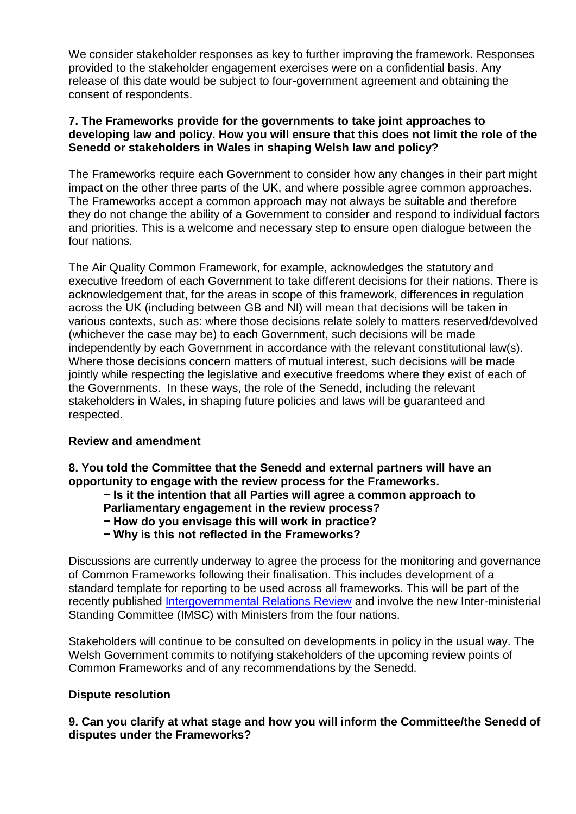We consider stakeholder responses as key to further improving the framework. Responses provided to the stakeholder engagement exercises were on a confidential basis. Any release of this date would be subject to four-government agreement and obtaining the consent of respondents.

### **7. The Frameworks provide for the governments to take joint approaches to developing law and policy. How you will ensure that this does not limit the role of the Senedd or stakeholders in Wales in shaping Welsh law and policy?**

The Frameworks require each Government to consider how any changes in their part might impact on the other three parts of the UK, and where possible agree common approaches. The Frameworks accept a common approach may not always be suitable and therefore they do not change the ability of a Government to consider and respond to individual factors and priorities. This is a welcome and necessary step to ensure open dialogue between the four nations.

The Air Quality Common Framework, for example, acknowledges the statutory and executive freedom of each Government to take different decisions for their nations. There is acknowledgement that, for the areas in scope of this framework, differences in regulation across the UK (including between GB and NI) will mean that decisions will be taken in various contexts, such as: where those decisions relate solely to matters reserved/devolved (whichever the case may be) to each Government, such decisions will be made independently by each Government in accordance with the relevant constitutional law(s). Where those decisions concern matters of mutual interest, such decisions will be made jointly while respecting the legislative and executive freedoms where they exist of each of the Governments. In these ways, the role of the Senedd, including the relevant stakeholders in Wales, in shaping future policies and laws will be guaranteed and respected.

# **Review and amendment**

**8. You told the Committee that the Senedd and external partners will have an opportunity to engage with the review process for the Frameworks.** 

- **− Is it the intention that all Parties will agree a common approach to**
- **Parliamentary engagement in the review process?**
- **− How do you envisage this will work in practice?**
- **− Why is this not reflected in the Frameworks?**

Discussions are currently underway to agree the process for the monitoring and governance of Common Frameworks following their finalisation. This includes development of a standard template for reporting to be used across all frameworks. This will be part of the recently published [Intergovernmental Relations Review](https://assets.publishing.service.gov.uk/government/uploads/system/uploads/attachment_data/file/1046083/The_Review_of_Intergovernmental_Relations.pdf) and involve the new Inter-ministerial Standing Committee (IMSC) with Ministers from the four nations.

Stakeholders will continue to be consulted on developments in policy in the usual way. The Welsh Government commits to notifying stakeholders of the upcoming review points of Common Frameworks and of any recommendations by the Senedd.

### **Dispute resolution**

**9. Can you clarify at what stage and how you will inform the Committee/the Senedd of disputes under the Frameworks?**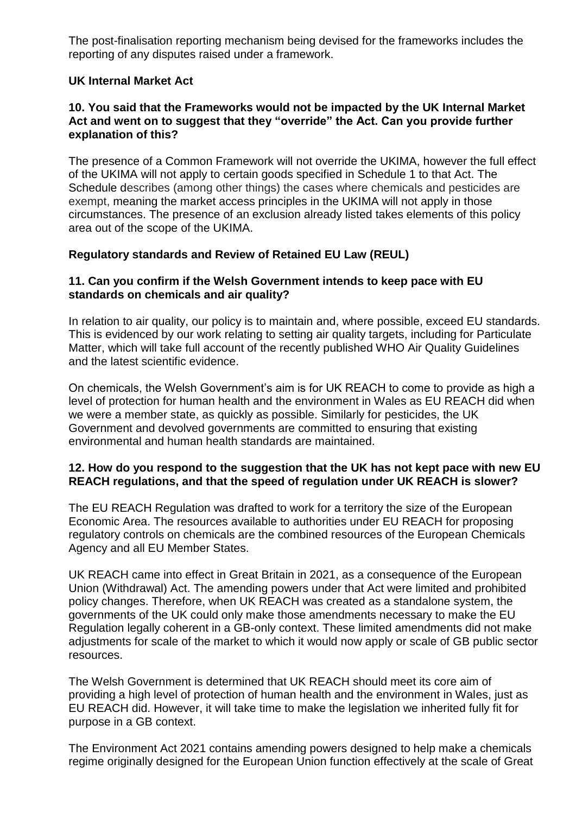The post-finalisation reporting mechanism being devised for the frameworks includes the reporting of any disputes raised under a framework.

### **UK Internal Market Act**

### **10. You said that the Frameworks would not be impacted by the UK Internal Market Act and went on to suggest that they "override" the Act. Can you provide further explanation of this?**

The presence of a Common Framework will not override the UKIMA, however the full effect of the UKIMA will not apply to certain goods specified in Schedule 1 to that Act. The Schedule describes (among other things) the cases where chemicals and pesticides are exempt, meaning the market access principles in the UKIMA will not apply in those circumstances. The presence of an exclusion already listed takes elements of this policy area out of the scope of the UKIMA.

### **Regulatory standards and Review of Retained EU Law (REUL)**

### **11. Can you confirm if the Welsh Government intends to keep pace with EU standards on chemicals and air quality?**

In relation to air quality, our policy is to maintain and, where possible, exceed EU standards. This is evidenced by our work relating to setting air quality targets, including for Particulate Matter, which will take full account of the recently published WHO Air Quality Guidelines and the latest scientific evidence.

On chemicals, the Welsh Government's aim is for UK REACH to come to provide as high a level of protection for human health and the environment in Wales as EU REACH did when we were a member state, as quickly as possible. Similarly for pesticides, the UK Government and devolved governments are committed to ensuring that existing environmental and human health standards are maintained.

### **12. How do you respond to the suggestion that the UK has not kept pace with new EU REACH regulations, and that the speed of regulation under UK REACH is slower?**

The EU REACH Regulation was drafted to work for a territory the size of the European Economic Area. The resources available to authorities under EU REACH for proposing regulatory controls on chemicals are the combined resources of the European Chemicals Agency and all EU Member States.

UK REACH came into effect in Great Britain in 2021, as a consequence of the European Union (Withdrawal) Act. The amending powers under that Act were limited and prohibited policy changes. Therefore, when UK REACH was created as a standalone system, the governments of the UK could only make those amendments necessary to make the EU Regulation legally coherent in a GB-only context. These limited amendments did not make adjustments for scale of the market to which it would now apply or scale of GB public sector resources.

The Welsh Government is determined that UK REACH should meet its core aim of providing a high level of protection of human health and the environment in Wales, just as EU REACH did. However, it will take time to make the legislation we inherited fully fit for purpose in a GB context.

The Environment Act 2021 contains amending powers designed to help make a chemicals regime originally designed for the European Union function effectively at the scale of Great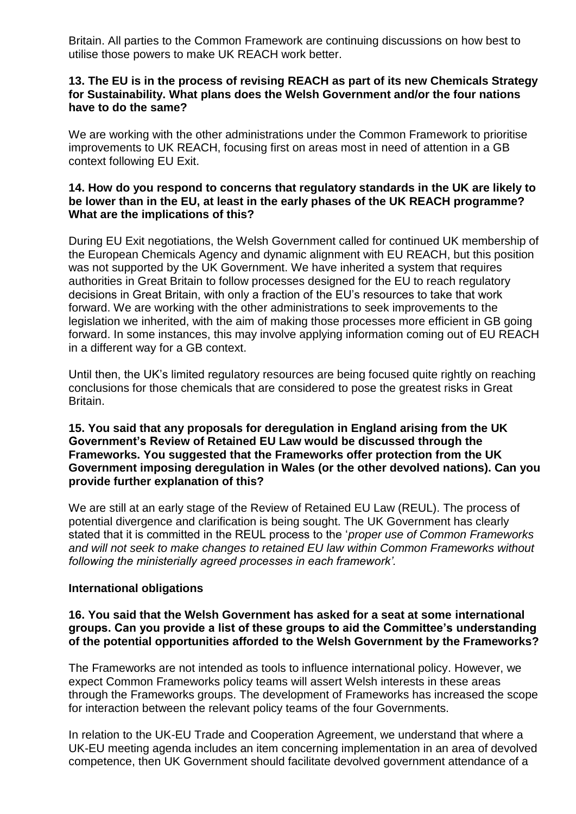Britain. All parties to the Common Framework are continuing discussions on how best to utilise those powers to make UK REACH work better.

### **13. The EU is in the process of revising REACH as part of its new Chemicals Strategy for Sustainability. What plans does the Welsh Government and/or the four nations have to do the same?**

We are working with the other administrations under the Common Framework to prioritise improvements to UK REACH, focusing first on areas most in need of attention in a GB context following EU Exit.

#### **14. How do you respond to concerns that regulatory standards in the UK are likely to be lower than in the EU, at least in the early phases of the UK REACH programme? What are the implications of this?**

During EU Exit negotiations, the Welsh Government called for continued UK membership of the European Chemicals Agency and dynamic alignment with EU REACH, but this position was not supported by the UK Government. We have inherited a system that requires authorities in Great Britain to follow processes designed for the EU to reach regulatory decisions in Great Britain, with only a fraction of the EU's resources to take that work forward. We are working with the other administrations to seek improvements to the legislation we inherited, with the aim of making those processes more efficient in GB going forward. In some instances, this may involve applying information coming out of EU REACH in a different way for a GB context.

Until then, the UK's limited regulatory resources are being focused quite rightly on reaching conclusions for those chemicals that are considered to pose the greatest risks in Great Britain.

### **15. You said that any proposals for deregulation in England arising from the UK Government's Review of Retained EU Law would be discussed through the Frameworks. You suggested that the Frameworks offer protection from the UK Government imposing deregulation in Wales (or the other devolved nations). Can you provide further explanation of this?**

We are still at an early stage of the Review of Retained EU Law (REUL). The process of potential divergence and clarification is being sought. The UK Government has clearly stated that it is committed in the REUL process to the '*proper use of Common Frameworks and will not seek to make changes to retained EU law within Common Frameworks without following the ministerially agreed processes in each framework'.*

### **International obligations**

### **16. You said that the Welsh Government has asked for a seat at some international groups. Can you provide a list of these groups to aid the Committee's understanding of the potential opportunities afforded to the Welsh Government by the Frameworks?**

The Frameworks are not intended as tools to influence international policy. However, we expect Common Frameworks policy teams will assert Welsh interests in these areas through the Frameworks groups. The development of Frameworks has increased the scope for interaction between the relevant policy teams of the four Governments.

In relation to the UK-EU Trade and Cooperation Agreement, we understand that where a UK-EU meeting agenda includes an item concerning implementation in an area of devolved competence, then UK Government should facilitate devolved government attendance of a